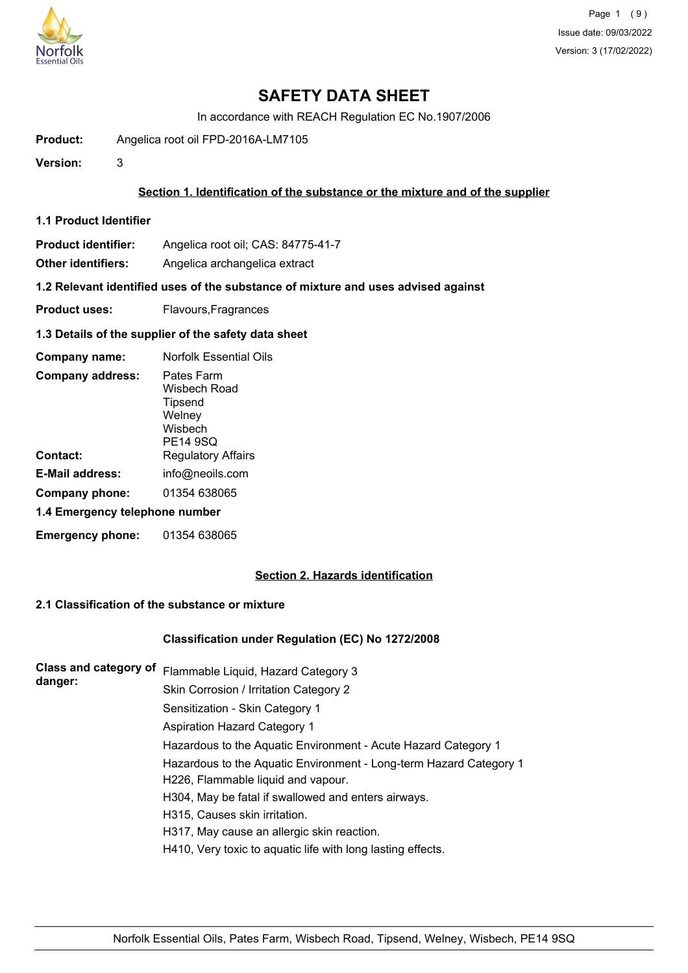

In accordance with REACH Regulation EC No.1907/2006

**Product:** Angelica root oil FPD-2016A-LM7105

**Version:** 3

### **Section 1. Identification of the substance or the mixture and of the supplier**

**1.1 Product Identifier**

**Product identifier:** Angelica root oil; CAS: 84775-41-7

**Other identifiers:** Angelica archangelica extract

**1.2 Relevant identified uses of the substance of mixture and uses advised against**

**Product uses:** Flavours, Fragrances

#### **1.3 Details of the supplier of the safety data sheet**

| Company name:                  | <b>Norfolk Essential Oils</b>                                          |
|--------------------------------|------------------------------------------------------------------------|
| <b>Company address:</b>        | Pates Farm<br>Wisbech Road<br>Tipsend<br>Welney<br>Wisbech<br>PE14 9SQ |
| Contact:                       | <b>Regulatory Affairs</b>                                              |
| <b>E-Mail address:</b>         | info@neoils.com                                                        |
| Company phone:                 | 01354 638065                                                           |
| 1.4 Emergency telephone number |                                                                        |
| <b>Emergency phone:</b>        | 01354 638065                                                           |

## **Section 2. Hazards identification**

## **2.1 Classification of the substance or mixture**

#### **Classification under Regulation (EC) No 1272/2008**

| <b>Class and category of</b><br>danger: | Flammable Liquid, Hazard Category 3                                |
|-----------------------------------------|--------------------------------------------------------------------|
|                                         | Skin Corrosion / Irritation Category 2                             |
|                                         | Sensitization - Skin Category 1                                    |
|                                         | <b>Aspiration Hazard Category 1</b>                                |
|                                         | Hazardous to the Aquatic Environment - Acute Hazard Category 1     |
|                                         | Hazardous to the Aquatic Environment - Long-term Hazard Category 1 |
|                                         | H226, Flammable liquid and vapour.                                 |
|                                         | H304, May be fatal if swallowed and enters airways.                |
|                                         | H315, Causes skin irritation.                                      |
|                                         | H317, May cause an allergic skin reaction.                         |
|                                         | H410, Very toxic to aquatic life with long lasting effects.        |
|                                         |                                                                    |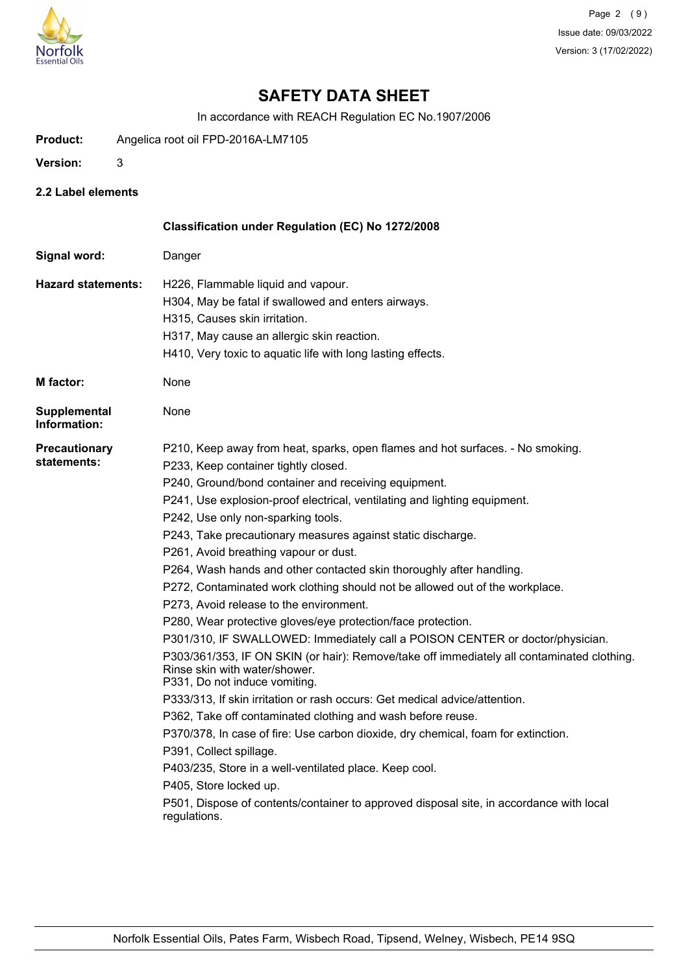

In accordance with REACH Regulation EC No.1907/2006

- **Product:** Angelica root oil FPD-2016A-LM7105
- **Version:** 3
- **2.2 Label elements**

|                                     | Classification under Regulation (EC) No 1272/2008                                                                                                                                                                                                                                                                                                                                                                                                                                                                                                                                                                                                                                                                                                                                                                                                                                                                                                                                                                                                                                                                                                                                                                                                                                                                                                                                         |
|-------------------------------------|-------------------------------------------------------------------------------------------------------------------------------------------------------------------------------------------------------------------------------------------------------------------------------------------------------------------------------------------------------------------------------------------------------------------------------------------------------------------------------------------------------------------------------------------------------------------------------------------------------------------------------------------------------------------------------------------------------------------------------------------------------------------------------------------------------------------------------------------------------------------------------------------------------------------------------------------------------------------------------------------------------------------------------------------------------------------------------------------------------------------------------------------------------------------------------------------------------------------------------------------------------------------------------------------------------------------------------------------------------------------------------------------|
| Signal word:                        | Danger                                                                                                                                                                                                                                                                                                                                                                                                                                                                                                                                                                                                                                                                                                                                                                                                                                                                                                                                                                                                                                                                                                                                                                                                                                                                                                                                                                                    |
| <b>Hazard statements:</b>           | H226, Flammable liquid and vapour.<br>H304, May be fatal if swallowed and enters airways.<br>H315, Causes skin irritation.<br>H317, May cause an allergic skin reaction.<br>H410, Very toxic to aquatic life with long lasting effects.                                                                                                                                                                                                                                                                                                                                                                                                                                                                                                                                                                                                                                                                                                                                                                                                                                                                                                                                                                                                                                                                                                                                                   |
| <b>M</b> factor:                    | None                                                                                                                                                                                                                                                                                                                                                                                                                                                                                                                                                                                                                                                                                                                                                                                                                                                                                                                                                                                                                                                                                                                                                                                                                                                                                                                                                                                      |
| <b>Supplemental</b><br>Information: | None                                                                                                                                                                                                                                                                                                                                                                                                                                                                                                                                                                                                                                                                                                                                                                                                                                                                                                                                                                                                                                                                                                                                                                                                                                                                                                                                                                                      |
| Precautionary<br>statements:        | P210, Keep away from heat, sparks, open flames and hot surfaces. - No smoking.<br>P233, Keep container tightly closed.<br>P240, Ground/bond container and receiving equipment.<br>P241, Use explosion-proof electrical, ventilating and lighting equipment.<br>P242, Use only non-sparking tools.<br>P243, Take precautionary measures against static discharge.<br>P261, Avoid breathing vapour or dust.<br>P264, Wash hands and other contacted skin thoroughly after handling.<br>P272, Contaminated work clothing should not be allowed out of the workplace.<br>P273, Avoid release to the environment.<br>P280, Wear protective gloves/eye protection/face protection.<br>P301/310, IF SWALLOWED: Immediately call a POISON CENTER or doctor/physician.<br>P303/361/353, IF ON SKIN (or hair): Remove/take off immediately all contaminated clothing.<br>Rinse skin with water/shower.<br>P331, Do not induce vomiting.<br>P333/313, If skin irritation or rash occurs: Get medical advice/attention.<br>P362, Take off contaminated clothing and wash before reuse.<br>P370/378, In case of fire: Use carbon dioxide, dry chemical, foam for extinction.<br>P391, Collect spillage.<br>P403/235, Store in a well-ventilated place. Keep cool.<br>P405, Store locked up.<br>P501, Dispose of contents/container to approved disposal site, in accordance with local<br>regulations. |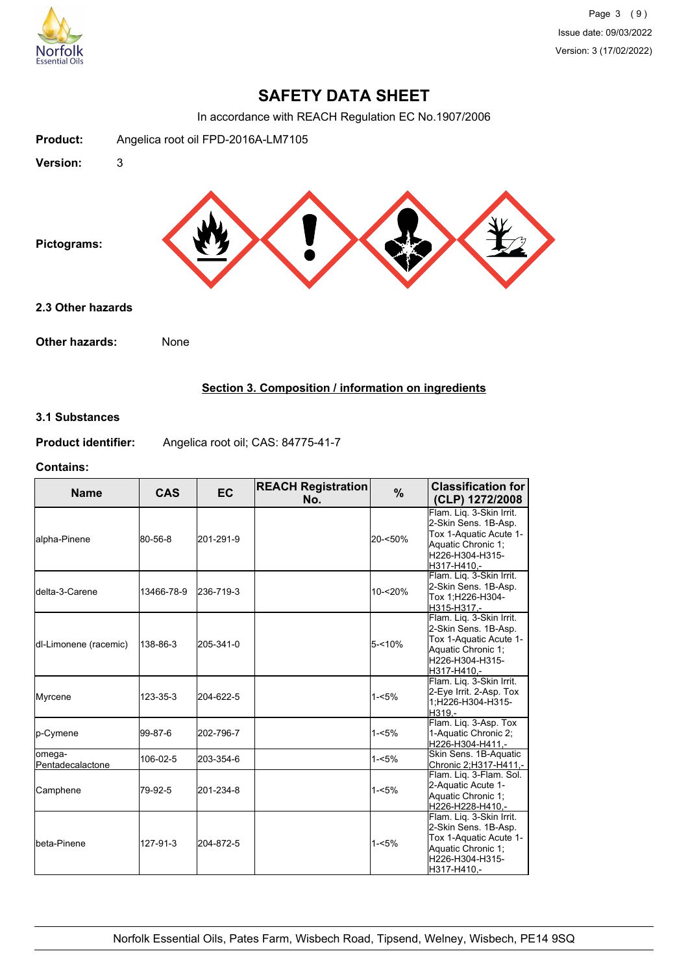

In accordance with REACH Regulation EC No.1907/2006



## **Section 3. Composition / information on ingredients**

## **3.1 Substances**

**Product identifier:** Angelica root oil; CAS: 84775-41-7

#### **Contains:**

| <b>Name</b>                 | <b>CAS</b> | <b>EC</b> | <b>REACH Registration</b><br>No. | %         | <b>Classification for</b><br>(CLP) 1272/2008                                                                                       |
|-----------------------------|------------|-----------|----------------------------------|-----------|------------------------------------------------------------------------------------------------------------------------------------|
| alpha-Pinene                | 80-56-8    | 201-291-9 |                                  | 20-<50%   | Flam. Lig. 3-Skin Irrit.<br>2-Skin Sens. 1B-Asp.<br>Tox 1-Aquatic Acute 1-<br>Aquatic Chronic 1:<br>H226-H304-H315-<br>H317-H410.- |
| <b>I</b> delta-3-Carene     | 13466-78-9 | 236-719-3 |                                  | 10-<20%   | Flam. Liq. 3-Skin Irrit.<br>2-Skin Sens. 1B-Asp.<br>Tox 1;H226-H304-<br>H315-H317.-                                                |
| dl-Limonene (racemic)       | 138-86-3   | 205-341-0 |                                  | $5 - 10%$ | Flam. Lig. 3-Skin Irrit.<br>2-Skin Sens. 1B-Asp.<br>Tox 1-Aquatic Acute 1-<br>Aquatic Chronic 1;<br>H226-H304-H315-<br>H317-H410.- |
| Myrcene                     | 123-35-3   | 204-622-5 |                                  | $1 - 5%$  | Flam. Lig. 3-Skin Irrit.<br>2-Eye Irrit. 2-Asp. Tox<br>1:H226-H304-H315-<br>H319.-                                                 |
| <b>l</b> p-Cymene           | 199-87-6   | 202-796-7 |                                  | $1 - 5%$  | Flam. Lig. 3-Asp. Tox<br>1-Aquatic Chronic 2;<br>H226-H304-H411.-                                                                  |
| lomega-<br>Pentadecalactone | 106-02-5   | 203-354-6 |                                  | $1 - 5%$  | Skin Sens. 1B-Aquatic<br>Chronic 2;H317-H411,-                                                                                     |
| Camphene                    | 79-92-5    | 201-234-8 |                                  | $1 - 5%$  | Flam. Liq. 3-Flam. Sol.<br>2-Aquatic Acute 1-<br>Aquatic Chronic 1;<br>H226-H228-H410.-                                            |
| Ibeta-Pinene                | 127-91-3   | 204-872-5 |                                  | $1 - 5%$  | Flam. Liq. 3-Skin Irrit.<br>2-Skin Sens. 1B-Asp.<br>Tox 1-Aquatic Acute 1-<br>Aquatic Chronic 1;<br>H226-H304-H315-<br>H317-H410,- |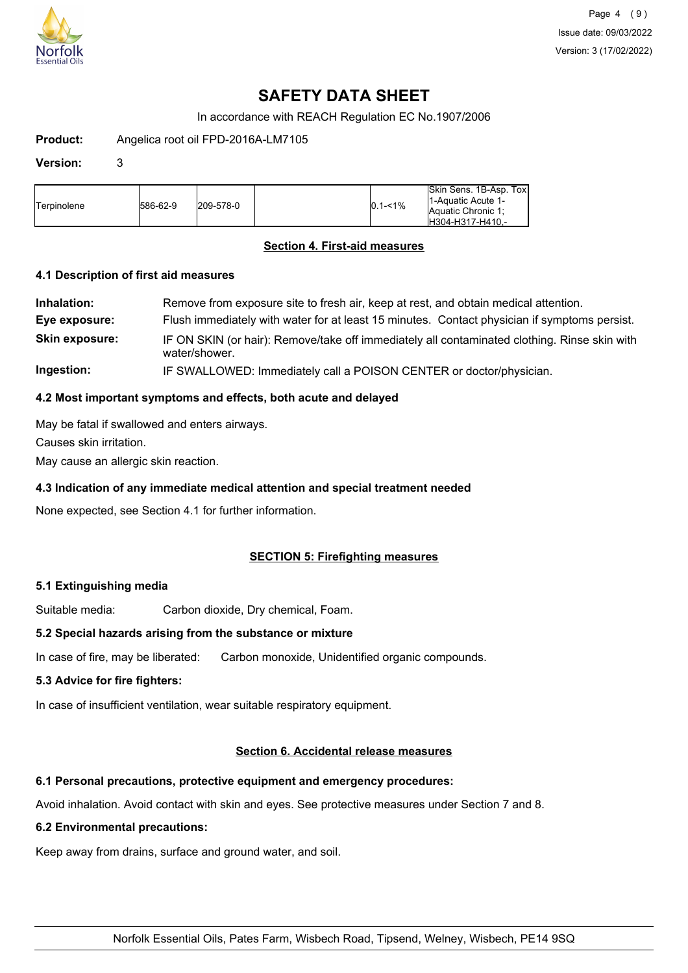

In accordance with REACH Regulation EC No.1907/2006

**Product:** Angelica root oil FPD-2016A-LM7105

#### **Version:** 3

| <b>Terpinolene</b> | 586-62-9 | 209-578-0 |  | $0.1 - 1\%$ | Skin Sens, 1B-Asp, Tox<br>11-Aquatic Acute 1-<br>Aquatic Chronic 1:<br>IH304-H317-H410.- |
|--------------------|----------|-----------|--|-------------|------------------------------------------------------------------------------------------|
|--------------------|----------|-----------|--|-------------|------------------------------------------------------------------------------------------|

### **Section 4. First-aid measures**

#### **4.1 Description of first aid measures**

| Inhalation:           | Remove from exposure site to fresh air, keep at rest, and obtain medical attention.                           |
|-----------------------|---------------------------------------------------------------------------------------------------------------|
| Eye exposure:         | Flush immediately with water for at least 15 minutes. Contact physician if symptoms persist.                  |
| <b>Skin exposure:</b> | IF ON SKIN (or hair): Remove/take off immediately all contaminated clothing. Rinse skin with<br>water/shower. |
| Ingestion:            | IF SWALLOWED: Immediately call a POISON CENTER or doctor/physician.                                           |

## **4.2 Most important symptoms and effects, both acute and delayed**

May be fatal if swallowed and enters airways.

Causes skin irritation.

May cause an allergic skin reaction.

## **4.3 Indication of any immediate medical attention and special treatment needed**

None expected, see Section 4.1 for further information.

## **SECTION 5: Firefighting measures**

#### **5.1 Extinguishing media**

Suitable media: Carbon dioxide, Dry chemical, Foam.

## **5.2 Special hazards arising from the substance or mixture**

In case of fire, may be liberated: Carbon monoxide, Unidentified organic compounds.

## **5.3 Advice for fire fighters:**

In case of insufficient ventilation, wear suitable respiratory equipment.

### **Section 6. Accidental release measures**

## **6.1 Personal precautions, protective equipment and emergency procedures:**

Avoid inhalation. Avoid contact with skin and eyes. See protective measures under Section 7 and 8.

#### **6.2 Environmental precautions:**

Keep away from drains, surface and ground water, and soil.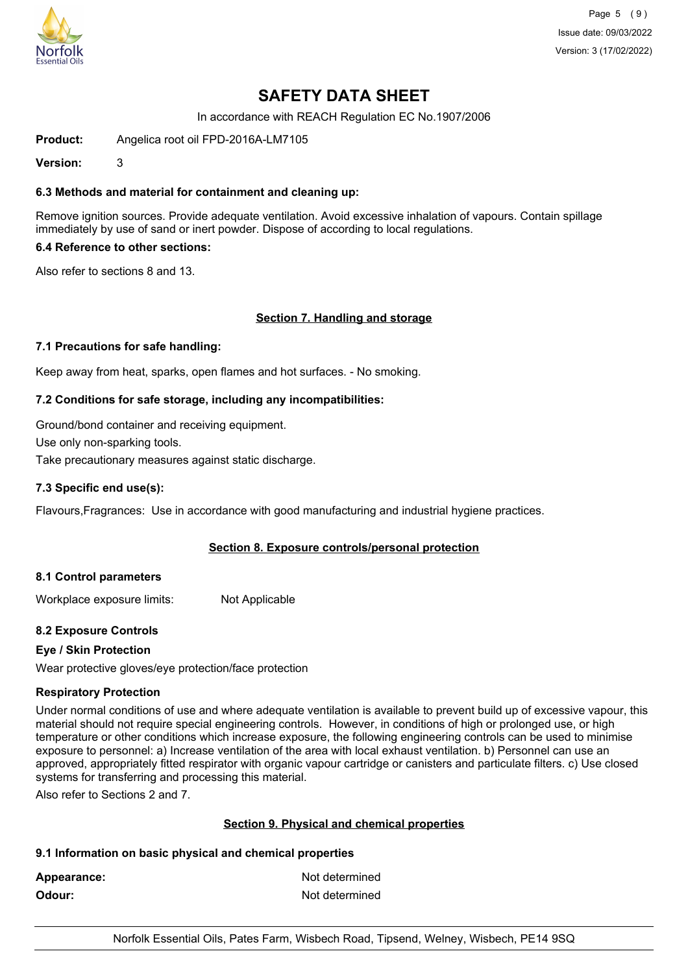

Page 5 (9) Issue date: 09/03/2022 Version: 3 (17/02/2022)

## **SAFETY DATA SHEET**

In accordance with REACH Regulation EC No.1907/2006

**Product:** Angelica root oil FPD-2016A-LM7105

**Version:** 3

## **6.3 Methods and material for containment and cleaning up:**

Remove ignition sources. Provide adequate ventilation. Avoid excessive inhalation of vapours. Contain spillage immediately by use of sand or inert powder. Dispose of according to local regulations.

## **6.4 Reference to other sections:**

Also refer to sections 8 and 13.

#### **Section 7. Handling and storage**

#### **7.1 Precautions for safe handling:**

Keep away from heat, sparks, open flames and hot surfaces. - No smoking.

#### **7.2 Conditions for safe storage, including any incompatibilities:**

Ground/bond container and receiving equipment.

Use only non-sparking tools.

Take precautionary measures against static discharge.

#### **7.3 Specific end use(s):**

Flavours,Fragrances: Use in accordance with good manufacturing and industrial hygiene practices.

## **Section 8. Exposure controls/personal protection**

#### **8.1 Control parameters**

Workplace exposure limits: Not Applicable

## **8.2 Exposure Controls**

## **Eye / Skin Protection**

Wear protective gloves/eye protection/face protection

#### **Respiratory Protection**

Under normal conditions of use and where adequate ventilation is available to prevent build up of excessive vapour, this material should not require special engineering controls. However, in conditions of high or prolonged use, or high temperature or other conditions which increase exposure, the following engineering controls can be used to minimise exposure to personnel: a) Increase ventilation of the area with local exhaust ventilation. b) Personnel can use an approved, appropriately fitted respirator with organic vapour cartridge or canisters and particulate filters. c) Use closed systems for transferring and processing this material.

Also refer to Sections 2 and 7.

## **Section 9. Physical and chemical properties**

#### **9.1 Information on basic physical and chemical properties**

Appearance: Not determined **Odour:** Not determined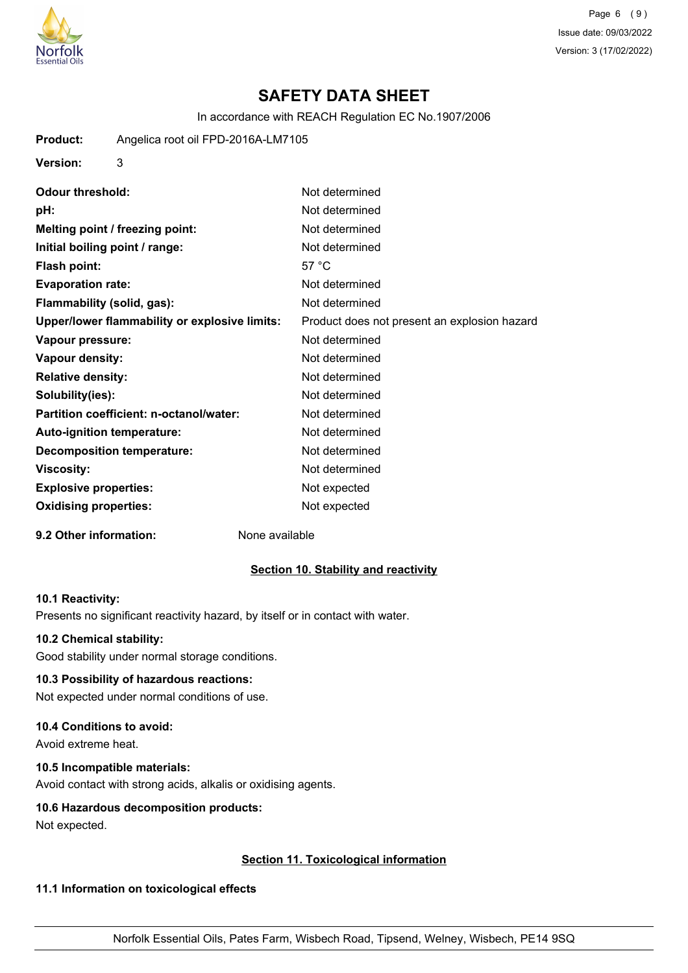

Page 6 (9) Issue date: 09/03/2022 Version: 3 (17/02/2022)

## **SAFETY DATA SHEET**

In accordance with REACH Regulation EC No.1907/2006

**Product:** Angelica root oil FPD-2016A-LM7105

**Version:** 3

**Odour threshold:** Not determined **pH:** Not determined **Melting point / freezing point:** Not determined **Initial boiling point / range:** Not determined **Flash point:** 57 °C **Evaporation rate:** Not determined **Flammability (solid, gas):** Not determined **Upper/lower flammability or explosive limits:** Product does not present an explosion hazard **Vapour pressure:** Not determined **Vapour density:** Not determined **Relative density:** Not determined **Solubility(ies):** Not determined **Partition coefficient: n-octanol/water:** Not determined Auto-ignition temperature: Not determined **Decomposition temperature:** Not determined **Viscosity:** Not determined **Explosive properties:** Not expected **Oxidising properties:** Not expected

#### **9.2 Other information:** None available

#### **Section 10. Stability and reactivity**

#### **10.1 Reactivity:**

Presents no significant reactivity hazard, by itself or in contact with water.

#### **10.2 Chemical stability:**

Good stability under normal storage conditions.

## **10.3 Possibility of hazardous reactions:**

Not expected under normal conditions of use.

#### **10.4 Conditions to avoid:**

Avoid extreme heat.

## **10.5 Incompatible materials:**

Avoid contact with strong acids, alkalis or oxidising agents.

#### **10.6 Hazardous decomposition products:**

Not expected.

#### **Section 11. Toxicological information**

#### **11.1 Information on toxicological effects**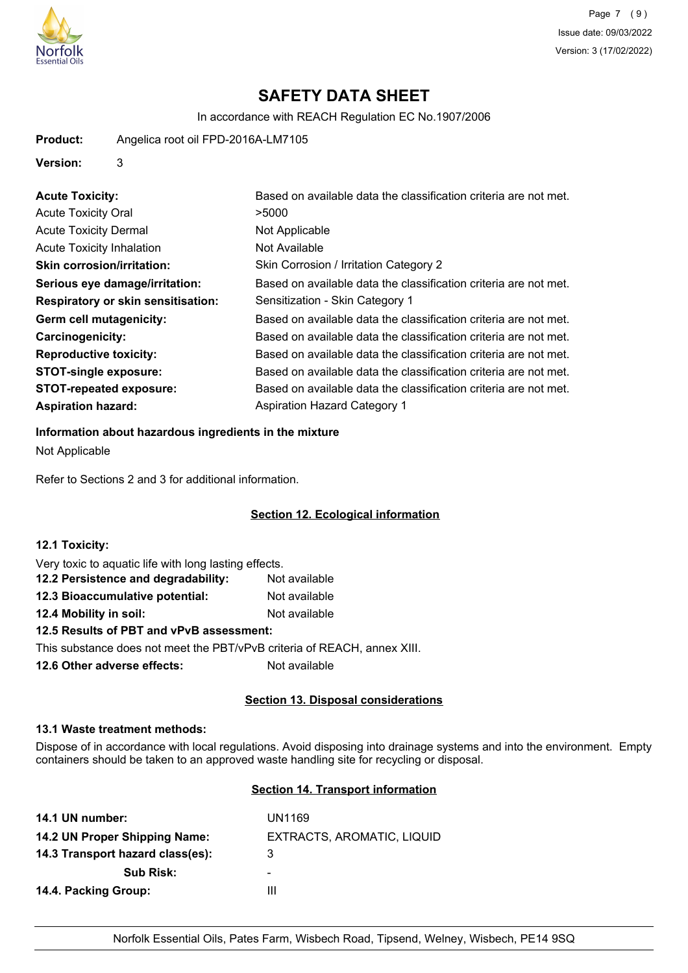

In accordance with REACH Regulation EC No.1907/2006

**Product:** Angelica root oil FPD-2016A-LM7105

### **Version:** 3

| <b>Acute Toxicity:</b>                    | Based on available data the classification criteria are not met. |
|-------------------------------------------|------------------------------------------------------------------|
| <b>Acute Toxicity Oral</b>                | >5000                                                            |
| <b>Acute Toxicity Dermal</b>              | Not Applicable                                                   |
| <b>Acute Toxicity Inhalation</b>          | Not Available                                                    |
| <b>Skin corrosion/irritation:</b>         | Skin Corrosion / Irritation Category 2                           |
| Serious eye damage/irritation:            | Based on available data the classification criteria are not met. |
| <b>Respiratory or skin sensitisation:</b> | Sensitization - Skin Category 1                                  |
| Germ cell mutagenicity:                   | Based on available data the classification criteria are not met. |
| <b>Carcinogenicity:</b>                   | Based on available data the classification criteria are not met. |
| <b>Reproductive toxicity:</b>             | Based on available data the classification criteria are not met. |
| <b>STOT-single exposure:</b>              | Based on available data the classification criteria are not met. |
| <b>STOT-repeated exposure:</b>            | Based on available data the classification criteria are not met. |
| <b>Aspiration hazard:</b>                 | <b>Aspiration Hazard Category 1</b>                              |

# **Information about hazardous ingredients in the mixture**

Not Applicable

Refer to Sections 2 and 3 for additional information.

## **Section 12. Ecological information**

| 12.1 Toxicity:                                                           |               |
|--------------------------------------------------------------------------|---------------|
| Very toxic to aquatic life with long lasting effects.                    |               |
| 12.2 Persistence and degradability:                                      | Not available |
| 12.3 Bioaccumulative potential:                                          | Not available |
| 12.4 Mobility in soil:                                                   | Not available |
| 12.5 Results of PBT and vPvB assessment:                                 |               |
| This substance does not meet the PBT/vPvB criteria of REACH, annex XIII. |               |
| 12.6 Other adverse effects:                                              | Not available |

## **Section 13. Disposal considerations**

## **13.1 Waste treatment methods:**

Dispose of in accordance with local regulations. Avoid disposing into drainage systems and into the environment. Empty containers should be taken to an approved waste handling site for recycling or disposal.

## **Section 14. Transport information**

| 14.1 UN number:                  | UN1169                     |
|----------------------------------|----------------------------|
| 14.2 UN Proper Shipping Name:    | EXTRACTS, AROMATIC, LIQUID |
| 14.3 Transport hazard class(es): | 3                          |
| <b>Sub Risk:</b>                 | -                          |
| 14.4. Packing Group:             | Ш                          |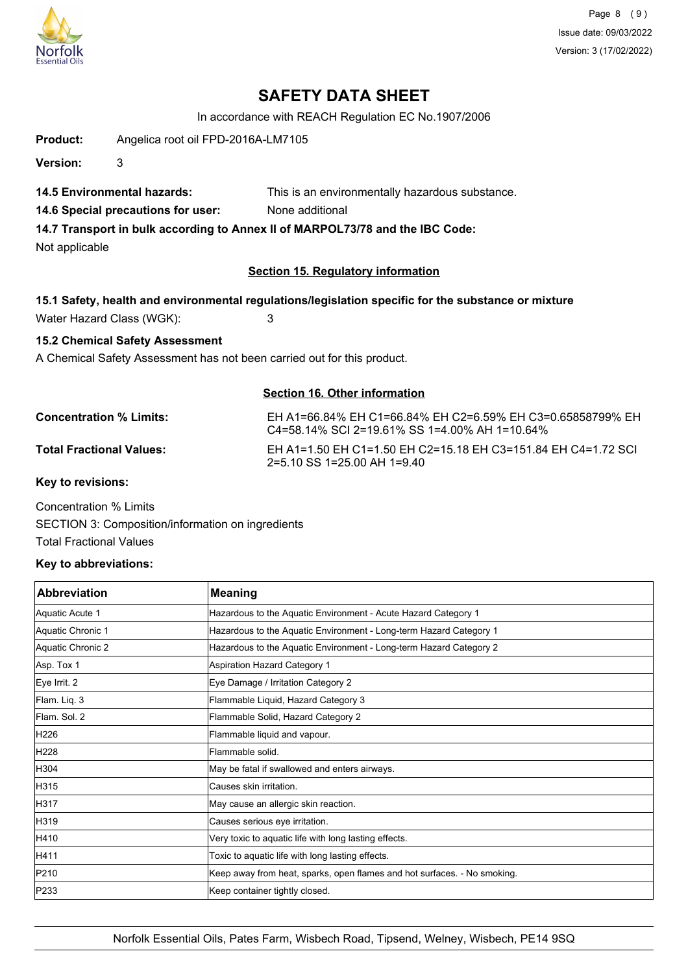

Page 8 (9) Issue date: 09/03/2022 Version: 3 (17/02/2022)

## **SAFETY DATA SHEET**

In accordance with REACH Regulation EC No.1907/2006

**Product:** Angelica root oil FPD-2016A-LM7105

**Version:** 3

**14.5 Environmental hazards:** This is an environmentally hazardous substance.

**14.6 Special precautions for user:** None additional

**14.7 Transport in bulk according to Annex II of MARPOL73/78 and the IBC Code:**

Not applicable

## **Section 15. Regulatory information**

## **15.1 Safety, health and environmental regulations/legislation specific for the substance or mixture**

Water Hazard Class (WGK): 3

## **15.2 Chemical Safety Assessment**

A Chemical Safety Assessment has not been carried out for this product.

## **Section 16. Other information**

**Concentration % Limits:** EH A1=66.84% EH C1=66.84% EH C2=6.59% EH C3=0.65858799% EH C4=58.14% SCI 2=19.61% SS 1=4.00% AH 1=10.64% **Total Fractional Values:** EH A1=1.50 EH C1=1.50 EH C2=15.18 EH C3=151.84 EH C4=1.72 SCI 2=5.10 SS 1=25.00 AH 1=9.40 **Key to revisions:**

Concentration % Limits SECTION 3: Composition/information on ingredients

Total Fractional Values

## **Key to abbreviations:**

| <b>Abbreviation</b> | <b>Meaning</b>                                                           |
|---------------------|--------------------------------------------------------------------------|
| Aquatic Acute 1     | Hazardous to the Aquatic Environment - Acute Hazard Category 1           |
| Aquatic Chronic 1   | Hazardous to the Aquatic Environment - Long-term Hazard Category 1       |
| Aquatic Chronic 2   | Hazardous to the Aquatic Environment - Long-term Hazard Category 2       |
| Asp. Tox 1          | <b>Aspiration Hazard Category 1</b>                                      |
| Eye Irrit. 2        | Eye Damage / Irritation Category 2                                       |
| Flam. Liq. 3        | Flammable Liquid, Hazard Category 3                                      |
| Flam. Sol. 2        | Flammable Solid, Hazard Category 2                                       |
| H226                | Flammable liquid and vapour.                                             |
| H228                | Flammable solid.                                                         |
| H304                | May be fatal if swallowed and enters airways.                            |
| H315                | Causes skin irritation.                                                  |
| H317                | May cause an allergic skin reaction.                                     |
| H319                | Causes serious eye irritation.                                           |
| H410                | Very toxic to aquatic life with long lasting effects.                    |
| H411                | Toxic to aquatic life with long lasting effects.                         |
| P210                | Keep away from heat, sparks, open flames and hot surfaces. - No smoking. |
| P233                | Keep container tightly closed.                                           |